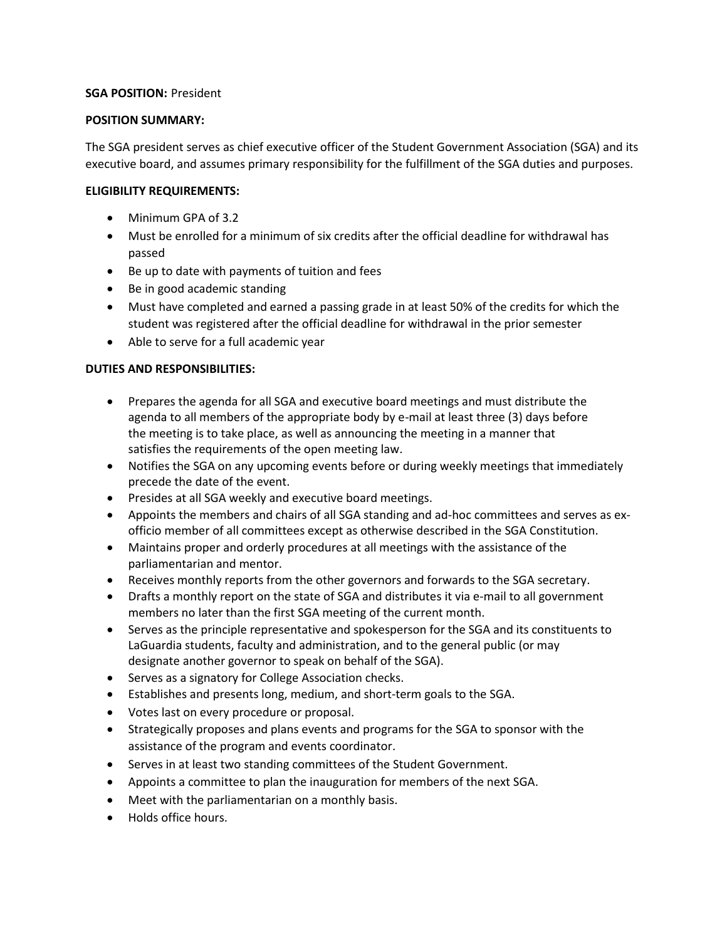#### **SGA POSITION:** President

### **POSITION SUMMARY:**

The SGA president serves as chief executive officer of the Student Government Association (SGA) and its executive board, and assumes primary responsibility for the fulfillment of the SGA duties and purposes.

## **ELIGIBILITY REQUIREMENTS:**

- Minimum GPA of 3.2
- Must be enrolled for a minimum of six credits after the official deadline for withdrawal has passed
- Be up to date with payments of tuition and fees
- Be in good academic standing
- Must have completed and earned a passing grade in at least 50% of the credits for which the student was registered after the official deadline for withdrawal in the prior semester
- Able to serve for a full academic year

# **DUTIES AND RESPONSIBILITIES:**

- Prepares the agenda for all SGA and executive board meetings and must distribute the agenda to all members of the appropriate body by e-mail at least three (3) days before the meeting is to take place, as well as announcing the meeting in a manner that satisfies the requirements of the open meeting law.
- Notifies the SGA on any upcoming events before or during weekly meetings that immediately precede the date of the event.
- Presides at all SGA weekly and executive board meetings.
- Appoints the members and chairs of all SGA standing and ad-hoc committees and serves as exofficio member of all committees except as otherwise described in the SGA Constitution.
- Maintains proper and orderly procedures at all meetings with the assistance of the parliamentarian and mentor.
- Receives monthly reports from the other governors and forwards to the SGA secretary.
- Drafts a monthly report on the state of SGA and distributes it via e-mail to all government members no later than the first SGA meeting of the current month.
- Serves as the principle representative and spokesperson for the SGA and its constituents to LaGuardia students, faculty and administration, and to the general public (or may designate another governor to speak on behalf of the SGA).
- Serves as a signatory for College Association checks.
- Establishes and presents long, medium, and short-term goals to the SGA.
- Votes last on every procedure or proposal.
- Strategically proposes and plans events and programs for the SGA to sponsor with the assistance of the program and events coordinator.
- Serves in at least two standing committees of the Student Government.
- Appoints a committee to plan the inauguration for members of the next SGA.
- Meet with the parliamentarian on a monthly basis.
- Holds office hours.